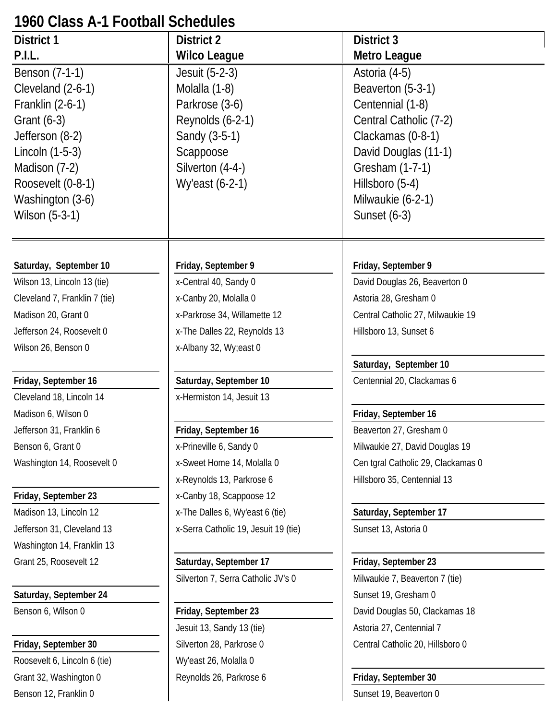# **1960 Class A-1 Football Schedules**

| <b>District 1</b>             | District 2                           | District 3                         |
|-------------------------------|--------------------------------------|------------------------------------|
| P.I.L.                        | <b>Wilco League</b>                  | Metro League                       |
| Benson (7-1-1)                | Jesuit (5-2-3)                       | Astoria (4-5)                      |
| Cleveland (2-6-1)             | Molalla (1-8)                        | Beaverton (5-3-1)                  |
| Franklin (2-6-1)              | Parkrose (3-6)                       | Centennial (1-8)                   |
| Grant $(6-3)$                 | Reynolds (6-2-1)                     | Central Catholic (7-2)             |
| Jefferson (8-2)               | Sandy (3-5-1)                        | Clackamas (0-8-1)                  |
| Lincoln $(1-5-3)$             | Scappoose                            | David Douglas (11-1)               |
| Madison (7-2)                 | Silverton (4-4-)                     | Gresham (1-7-1)                    |
| Roosevelt (0-8-1)             | Wy'east (6-2-1)                      | Hillsboro (5-4)                    |
| Washington (3-6)              |                                      | Milwaukie (6-2-1)                  |
| Wilson (5-3-1)                |                                      | Sunset $(6-3)$                     |
|                               |                                      |                                    |
| Saturday, September 10        | Friday, September 9                  | Friday, September 9                |
| Wilson 13, Lincoln 13 (tie)   | x-Central 40, Sandy 0                | David Douglas 26, Beaverton 0      |
| Cleveland 7, Franklin 7 (tie) | x-Canby 20, Molalla 0                | Astoria 28, Gresham 0              |
| Madison 20, Grant 0           | x-Parkrose 34, Willamette 12         | Central Catholic 27, Milwaukie 19  |
| Jefferson 24, Roosevelt 0     | x-The Dalles 22, Reynolds 13         | Hillsboro 13, Sunset 6             |
| Wilson 26, Benson 0           | x-Albany 32, Wy;east 0               |                                    |
|                               |                                      | Saturday, September 10             |
| Friday, September 16          | Saturday, September 10               | Centennial 20, Clackamas 6         |
| Cleveland 18, Lincoln 14      | x-Hermiston 14, Jesuit 13            |                                    |
| Madison 6, Wilson 0           |                                      | Friday, September 16               |
| Jefferson 31, Franklin 6      | Friday, September 16                 | Beaverton 27, Gresham 0            |
| Benson 6, Grant 0             | x-Prineville 6, Sandy 0              | Milwaukie 27, David Douglas 19     |
| Washington 14, Roosevelt 0    | x-Sweet Home 14, Molalla 0           | Cen tgral Catholic 29, Clackamas 0 |
|                               | x-Reynolds 13, Parkrose 6            | Hillsboro 35, Centennial 13        |
| Friday, September 23          | x-Canby 18, Scappoose 12             |                                    |
| Madison 13, Lincoln 12        | x-The Dalles 6, Wy'east 6 (tie)      | Saturday, September 17             |
| Jefferson 31, Cleveland 13    | x-Serra Catholic 19, Jesuit 19 (tie) | Sunset 13, Astoria 0               |
| Washington 14, Franklin 13    |                                      |                                    |
| Grant 25, Roosevelt 12        | Saturday, September 17               | Friday, September 23               |
|                               | Silverton 7, Serra Catholic JV's 0   | Milwaukie 7, Beaverton 7 (tie)     |
| Saturday, September 24        |                                      | Sunset 19, Gresham 0               |
| Benson 6, Wilson 0            | Friday, September 23                 | David Douglas 50, Clackamas 18     |
|                               | Jesuit 13, Sandy 13 (tie)            | Astoria 27, Centennial 7           |
| Friday, September 30          | Silverton 28, Parkrose 0             | Central Catholic 20, Hillsboro 0   |
| Roosevelt 6, Lincoln 6 (tie)  | Wy'east 26, Molalla 0                |                                    |
| Grant 32, Washington 0        | Reynolds 26, Parkrose 6              | Friday, September 30               |

Benson 12, Franklin 0 Sunset 19, Beaverton 0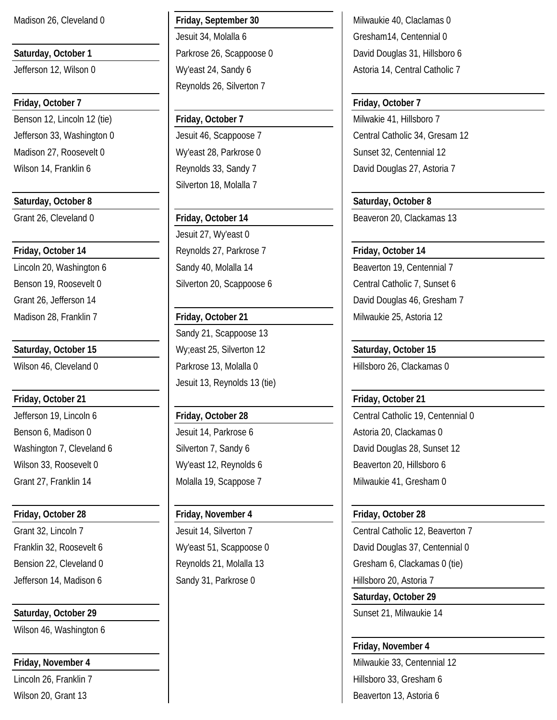# **Friday, October 7 Friday, October 7**

Benson 12, Lincoln 12 (tie) **Friday, October 7** Milwakie 41, Hillsboro 7 Madison 27, Roosevelt 0 Wy'east 28, Parkrose 0 Sunset 32, Centennial 12 Wilson 14, Franklin 6 Reynolds 33, Sandy 7 Nilson 14, Franklin 6 Reynolds 33, Sandy 7

Benson 6, Madison 0 **Jesuit 14, Parkrose 6** Astoria 20, Clackamas 0 Wilson 33, Roosevelt 0 Wy'east 12, Reynolds 6 Beaverton 20, Hillsboro 6

# **Saturday, October 29 Sunset 21, Milwaukie 14** Sunset 21, Milwaukie 14

Wilson 46, Washington 6

Jesuit 34, Molalla 6 Gresham14, Centennial 0 Reynolds 26, Silverton 7

Silverton 18, Molalla 7

Jesuit 27, Wy'east 0 **Friday, October 14 Friday, October 14 Reynolds 27, Parkrose 7 Friday, October 14** 

Sandy 21, Scappoose 13 **Saturday, October 15** Wy;east 25, Silverton 12 **Saturday, October 15** Wilson 46, Cleveland 0 **Parkrose 13, Molalla 0** Hillsboro 26, Clackamas 0 Jesuit 13, Reynolds 13 (tie)

# **Friday, October 28 Friday, November 4 Friday, October 28**

Jefferson 14, Madison 6 Sandy 31, Parkrose 0 Hillsboro 20, Astoria 7

Madison 26, Cleveland 0 **Friday, September 30** Milwaukie 40, Claclamas 0 **Saturday, October 1 Parkrose 26, Scappoose 0** David Douglas 31, Hillsboro 6 Jefferson 12, Wilson 0 Ny'east 24, Sandy 6 Astoria 14, Central Catholic 7

Jefferson 33, Washington 0 Jesuit 46, Scappoose 7 Central Catholic 34, Gresam 12

Saturday, October 8 **Saturday**, October 8 Grant 26, Cleveland 0 **Friday, October 14** Beaveron 20, Clackamas 13

Lincoln 20, Washington 6 Sandy 40, Molalla 14 Beaverton 19, Centennial 7 Benson 19, Roosevelt 0 Silverton 20, Scappoose 6 Central Catholic 7, Sunset 6 Grant 26, Jefferson 14 **David Douglas 46, Gresham 7** David Douglas 46, Gresham 7 Madison 28, Franklin 7 **Friday, October 21** Milwaukie 25, Astoria 12

# **Friday, October 21 Friday, October 21**

Jefferson 19, Lincoln 6 **Friday, October 28** Central Catholic 19, Centennial 0 Washington 7, Cleveland 6 Silverton 7, Sandy 6 Nashington 7, Cleveland 6 Nashington 7, Senset 12 Grant 27, Franklin 14 **Molalla 19, Scappose 7** Milwaukie 41, Gresham 0

Grant 32, Lincoln 7 **Jesuit 14, Silverton 7** Central Catholic 12, Beaverton 7 Franklin 32, Roosevelt 6 The Covid Covid Library of Library Scappoose 0 David Douglas 37, Centennial 0 Bension 22, Cleveland 0 Reynolds 21, Molalla 13 Gresham 6, Clackamas 0 (tie)

**Saturday, October 29**

# **Friday, November 4**

**Friday, November 4** Milwaukie 33, Centennial 12 Lincoln 26, Franklin 7 Hillsboro 33, Gresham 6 Wilson 20, Grant 13 **Beaverton 13**, Astoria 6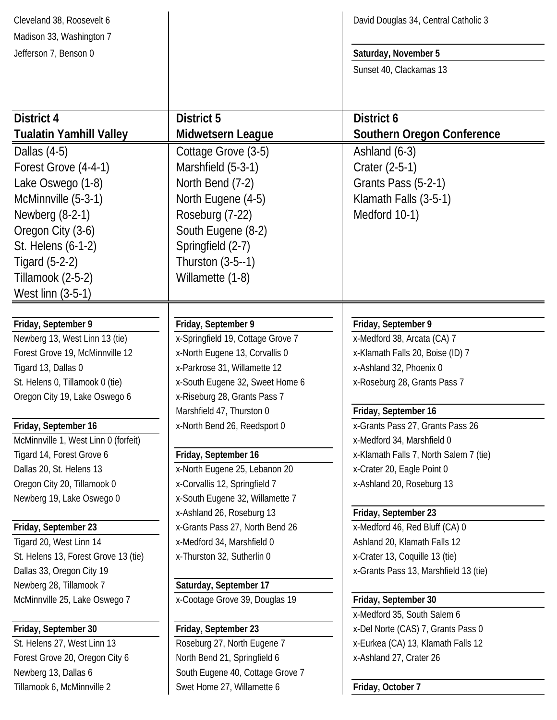| Cleveland 38, Roosevelt 6                                    |                                                     | David Douglas 34, Central Catholic 3                                     |
|--------------------------------------------------------------|-----------------------------------------------------|--------------------------------------------------------------------------|
| Madison 33, Washington 7                                     |                                                     |                                                                          |
| Jefferson 7, Benson 0                                        |                                                     | Saturday, November 5                                                     |
|                                                              |                                                     | Sunset 40, Clackamas 13                                                  |
|                                                              |                                                     |                                                                          |
| <b>District 4</b>                                            | <b>District 5</b>                                   | District 6                                                               |
| <b>Tualatin Yamhill Valley</b>                               | Midwetsern League                                   | <b>Southern Oregon Conference</b>                                        |
| Dallas $(4-5)$                                               | Cottage Grove (3-5)                                 | Ashland $(6-3)$                                                          |
| Forest Grove (4-4-1)                                         | Marshfield (5-3-1)                                  | Crater (2-5-1)                                                           |
| Lake Oswego (1-8)                                            | North Bend (7-2)                                    | Grants Pass (5-2-1)                                                      |
| McMinnville (5-3-1)                                          | North Eugene (4-5)                                  | Klamath Falls (3-5-1)                                                    |
| Newberg $(8-2-1)$                                            | Roseburg (7-22)                                     | Medford 10-1)                                                            |
| Oregon City (3-6)                                            | South Eugene (8-2)                                  |                                                                          |
| St. Helens (6-1-2)                                           | Springfield (2-7)                                   |                                                                          |
| Tigard $(5-2-2)$                                             | Thurston (3-5--1)                                   |                                                                          |
| Tillamook (2-5-2)                                            | Willamette (1-8)                                    |                                                                          |
| West linn (3-5-1)                                            |                                                     |                                                                          |
|                                                              |                                                     |                                                                          |
| Friday, September 9                                          | Friday, September 9                                 | Friday, September 9                                                      |
| Newberg 13, West Linn 13 (tie)                               | x-Springfield 19, Cottage Grove 7                   | x-Medford 38, Arcata (CA) 7                                              |
| Forest Grove 19, McMinnville 12                              | x-North Eugene 13, Corvallis 0                      | x-Klamath Falls 20, Boise (ID) 7                                         |
| Tigard 13, Dallas 0                                          | x-Parkrose 31, Willamette 12                        | x-Ashland 32, Phoenix 0                                                  |
| St. Helens 0, Tillamook 0 (tie)                              | x-South Eugene 32, Sweet Home 6                     | x-Roseburg 28, Grants Pass 7                                             |
| Oregon City 19, Lake Oswego 6                                | x-Riseburg 28, Grants Pass 7                        |                                                                          |
|                                                              | Marshfield 47, Thurston 0                           | Friday, September 16                                                     |
| Friday, September 16<br>McMinnville 1, West Linn 0 (forfeit) | x-North Bend 26, Reedsport 0                        | x-Grants Pass 27, Grants Pass 26<br>x-Medford 34, Marshfield 0           |
| Tigard 14, Forest Grove 6                                    | Friday, September 16                                | x-Klamath Falls 7, North Salem 7 (tie)                                   |
| Dallas 20, St. Helens 13                                     | x-North Eugene 25, Lebanon 20                       | x-Crater 20, Eagle Point 0                                               |
| Oregon City 20, Tillamook 0                                  | x-Corvallis 12, Springfield 7                       | x-Ashland 20, Roseburg 13                                                |
| Newberg 19, Lake Oswego 0                                    | x-South Eugene 32, Willamette 7                     |                                                                          |
|                                                              | x-Ashland 26, Roseburg 13                           | Friday, September 23                                                     |
| Friday, September 23                                         | x-Grants Pass 27, North Bend 26                     | x-Medford 46, Red Bluff (CA) 0                                           |
| Tigard 20, West Linn 14                                      | x-Medford 34, Marshfield 0                          | Ashland 20, Klamath Falls 12                                             |
| St. Helens 13, Forest Grove 13 (tie)                         | x-Thurston 32, Sutherlin 0                          | x-Crater 13, Coquille 13 (tie)                                           |
| Dallas 33, Oregon City 19                                    |                                                     | x-Grants Pass 13, Marshfield 13 (tie)                                    |
| Newberg 28, Tillamook 7                                      | Saturday, September 17                              |                                                                          |
| McMinnville 25, Lake Oswego 7                                | x-Cootage Grove 39, Douglas 19                      | Friday, September 30                                                     |
|                                                              |                                                     | x-Medford 35, South Salem 6                                              |
| Friday, September 30<br>St. Helens 27, West Linn 13          | Friday, September 23<br>Roseburg 27, North Eugene 7 | x-Del Norte (CAS) 7, Grants Pass 0<br>x-Eurkea (CA) 13, Klamath Falls 12 |
| Forest Grove 20, Oregon City 6                               | North Bend 21, Springfield 6                        | x-Ashland 27, Crater 26                                                  |
| Newberg 13, Dallas 6                                         | South Eugene 40, Cottage Grove 7                    |                                                                          |
| Tillamook 6, McMinnville 2                                   | Swet Home 27, Willamette 6                          | Friday, October 7                                                        |
|                                                              |                                                     |                                                                          |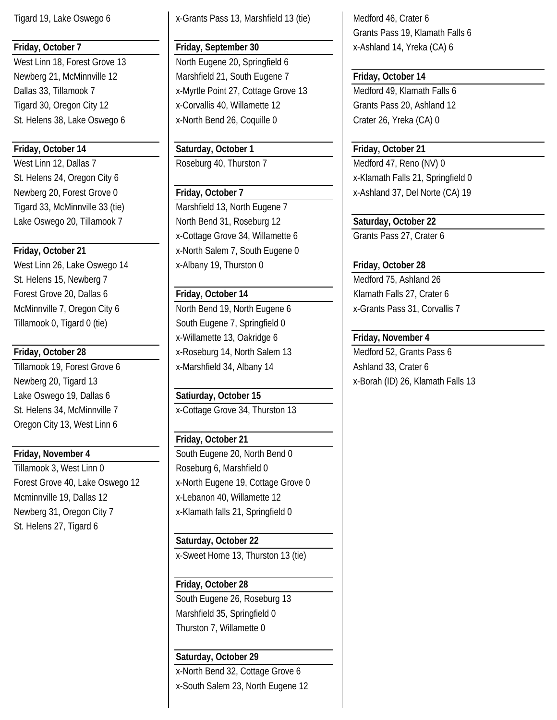West Linn 12, Dallas 7 Roseburg 40, Thurston 7 Medford 47, Reno (NV) 0 Tigard 33, McMinnville 33 (tie) Marshfield 13, North Eugene 7

St. Helens 15, Newberg 7 and 1990 and 1990 and 1990 and 1990 and 1990 and 1990 and 1990 and 1990 and 1990 and 19 Forest Grove 20, Dallas 6 **Friday, October 14** Klamath Falls 27, Crater 6 Tillamook 0, Tigard 0 (tie) South Eugene 7, Springfield 0

Lake Oswego 19, Dallas 6 **Satiurday**, October 15 Oregon City 13, West Linn 6

Tillamook 3, West Linn 0 Roseburg 6, Marshfield 0 Mcminnville 19, Dallas 12 **X** x-Lebanon 40, Willamette 12 Newberg 31, Oregon City 7 x-Klamath falls 21, Springfield 0 St. Helens 27, Tigard 6

Tigard 19, Lake Oswego 6 | x-Grants Pass 13, Marshfield 13 (tie) | Medford 46, Crater 6

West Linn 18, Forest Grove 13 North Eugene 20, Springfield 6 Newberg 21, McMinnville 12 Marshfield 21, South Eugene 7 **Friday, October 14** Dallas 33, Tillamook 7 x-Myrtle Point 27, Cottage Grove 13 Medford 49, Klamath Falls 6 Tigard 30, Oregon City 12 **X**-Corvallis 40, Willamette 12 Grants Pass 20, Ashland 12 St. Helens 38, Lake Oswego 6 x-North Bend 26, Coquille 0 Crater 26, Yreka (CA) 0

**Friday, October 14 Saturday, October 1 Friday, October 21**

Lake Oswego 20, Tillamook 7 North Bend 31, Roseburg 12 **Saturday, October 22** x-Cottage Grove 34, Willamette 6 Grants Pass 27, Crater 6 **Friday, October 21** X-North Salem 7, South Eugene 0 West Linn 26, Lake Oswego 14 x-Albany 19, Thurston 0 **Friday, October 28** 

McMinnville 7, Oregon City 6 North Bend 19, North Eugene 6 X-Grants Pass 31, Corvallis 7 x-Willamette 13, Oakridge 6 **Friday, November 4 Friday, October 28** X-Roseburg 14, North Salem 13 Medford 52, Grants Pass 6 Tillamook 19, Forest Grove 6 x-Marshfield 34, Albany 14 Ashland 33, Crater 6

St. Helens 34, McMinnville 7 x-Cottage Grove 34, Thurston 13

# **Friday, October 21**

**Friday, November 4** South Eugene 20, North Bend 0 Forest Grove 40, Lake Oswego 12 | x-North Eugene 19, Cottage Grove 0

# **Saturday, October 22**

x-Sweet Home 13, Thurston 13 (tie)

# **Friday, October 28**

South Eugene 26, Roseburg 13 Marshfield 35, Springfield 0 Thurston 7, Willamette 0

# **Saturday, October 29**

x-North Bend 32, Cottage Grove 6 x-South Salem 23, North Eugene 12

Grants Pass 19, Klamath Falls 6 **Friday, October 7 Friday, September 30** x-Ashland 14, Yreka (CA) 6

St. Helens 24, Oregon City 6 x-Klamath Falls 21, Springfield 0 Newberg 20, Forest Grove 0 **Friday, October 7** Newberg 20, Forest Grove 0 **Friday, October 7** X-Ashland 37, Del Norte (CA) 19

Newberg 20, Tigard 13 **X-Borah (ID) 26, Klamath Falls 13** x-Borah (ID) 26, Klamath Falls 13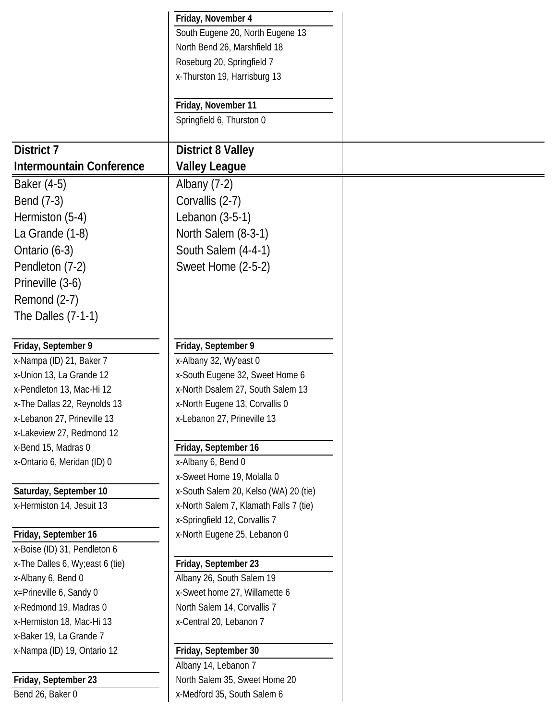|                                  | Friday, November 4                               |
|----------------------------------|--------------------------------------------------|
|                                  | South Eugene 20, North Eugene 13                 |
|                                  | North Bend 26, Marshfield 18                     |
|                                  | Roseburg 20, Springfield 7                       |
|                                  | x-Thurston 19, Harrisburg 13                     |
|                                  |                                                  |
|                                  | Friday, November 11<br>Springfield 6, Thurston 0 |
|                                  |                                                  |
| <b>District 7</b>                | <b>District 8 Valley</b>                         |
| Intermountain Conference         | <b>Valley League</b>                             |
| Baker (4-5)                      | Albany $(7-2)$                                   |
| Bend (7-3)                       | Corvallis (2-7)                                  |
| Hermiston (5-4)                  | Lebanon (3-5-1)                                  |
| La Grande (1-8)                  | North Salem (8-3-1)                              |
| Ontario (6-3)                    | South Salem (4-4-1)                              |
|                                  |                                                  |
| Pendleton (7-2)                  | Sweet Home (2-5-2)                               |
| Prineville (3-6)                 |                                                  |
| Remond (2-7)                     |                                                  |
| The Dalles (7-1-1)               |                                                  |
| Friday, September 9              | Friday, September 9                              |
| x-Nampa (ID) 21, Baker 7         | x-Albany 32, Wy'east 0                           |
| x-Union 13, La Grande 12         | x-South Eugene 32, Sweet Home 6                  |
| x-Pendleton 13, Mac-Hi 12        | x-North Dsalem 27, South Salem 13                |
| x-The Dallas 22, Reynolds 13     | x-North Eugene 13, Corvallis 0                   |
| x-Lebanon 27, Prineville 13      | x-Lebanon 27, Prineville 13                      |
| x-Lakeview 27, Redmond 12        |                                                  |
| x-Bend 15, Madras 0              | Friday, September 16                             |
| x-Ontario 6, Meridan (ID) 0      | x-Albany 6, Bend 0                               |
|                                  | x-Sweet Home 19, Molalla 0                       |
| Saturday, September 10           | x-South Salem 20, Kelso (WA) 20 (tie)            |
| x-Hermiston 14, Jesuit 13        | x-North Salem 7, Klamath Falls 7 (tie)           |
|                                  | x-Springfield 12, Corvallis 7                    |
| Friday, September 16             | x-North Eugene 25, Lebanon 0                     |
| x-Boise (ID) 31, Pendleton 6     |                                                  |
| x-The Dalles 6, Wy; east 6 (tie) | Friday, September 23                             |
| x-Albany 6, Bend 0               | Albany 26, South Salem 19                        |
| x=Prineville 6, Sandy 0          | x-Sweet home 27, Willamette 6                    |
| x-Redmond 19, Madras 0           | North Salem 14, Corvallis 7                      |
| x-Hermiston 18, Mac-Hi 13        | x-Central 20, Lebanon 7                          |
| x-Baker 19, La Grande 7          |                                                  |
| x-Nampa (ID) 19, Ontario 12      | Friday, September 30                             |
|                                  | Albany 14, Lebanon 7                             |
| Friday, September 23             | North Salem 35, Sweet Home 20                    |
| Bend 26, Baker 0                 | x-Medford 35, South Salem 6                      |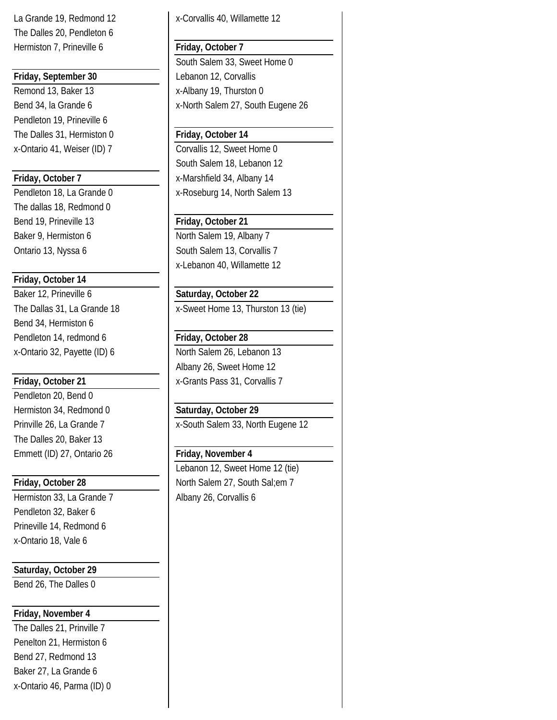The Dalles 20, Pendleton 6 Hermiston 7, Prineville 6 **Friday, October 7** 

# **Friday, September 30** Lebanon 12, Corvallis

Remond 13, Baker 13 **X**-Albany 19, Thurston 0 Pendleton 19, Prineville 6 The Dalles 31, Hermiston 0 **Friday, October 14** 

The dallas 18, Redmond 0 Bend 19, Prineville 13 **Friday, October 21** Baker 9, Hermiston 6 North Salem 19, Albany 7

## **Friday, October 14**

Baker 12, Prineville 6 **Saturday, October 22** Bend 34, Hermiston 6 Pendleton 14, redmond 6 **Friday, October 28** x-Ontario 32, Payette (ID) 6 North Salem 26, Lebanon 13

Pendleton 20, Bend 0 Hermiston 34, Redmond 0 **Saturday, October 29** The Dalles 20, Baker 13 Emmett (ID) 27, Ontario 26 **Friday, November 4**

Hermiston 33, La Grande 7 | Albany 26, Corvallis 6 Pendleton 32, Baker 6 Prineville 14, Redmond 6 x-Ontario 18, Vale 6

# **Saturday, October 29**

Bend 26, The Dalles 0

# **Friday, November 4**

The Dalles 21, Prinville 7 Penelton 21, Hermiston 6 Bend 27, Redmond 13 Baker 27, La Grande 6 x-Ontario 46, Parma (ID) 0

La Grande 19, Redmond 12 **X** - Corvallis 40, Willamette 12

South Salem 33, Sweet Home 0 Bend 34, la Grande 6 x-North Salem 27, South Eugene 26

x-Ontario 41, Weiser (ID) 7 Corvallis 12, Sweet Home 0 South Salem 18, Lebanon 12 **Friday, October 7** X-Marshfield 34, Albany 14 Pendleton 18, La Grande 0 x-Roseburg 14, North Salem 13

Ontario 13, Nyssa 6 South Salem 13, Corvallis 7 x-Lebanon 40, Willamette 12

The Dallas 31, La Grande 18 x-Sweet Home 13, Thurston 13 (tie)

Albany 26, Sweet Home 12 **Friday, October 21** x-Grants Pass 31, Corvallis 7

Prinville 26, La Grande 7 x-South Salem 33, North Eugene 12

Lebanon 12, Sweet Home 12 (tie) **Friday, October 28** North Salem 27, South Sal;em 7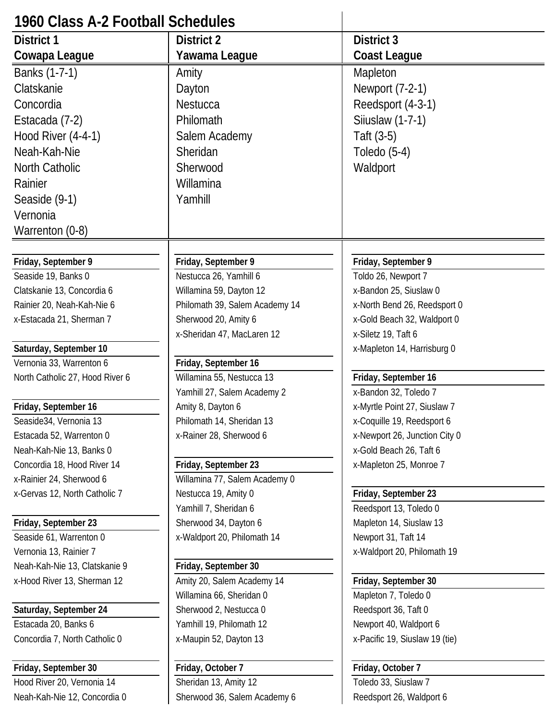| 1960 Class A-2 Football Schedules                    |                                |                                                          |
|------------------------------------------------------|--------------------------------|----------------------------------------------------------|
| <b>District 1</b>                                    | <b>District 2</b>              | District 3                                               |
| Cowapa League                                        | Yawama League                  | Coast League                                             |
| Banks (1-7-1)                                        | Amity                          | Mapleton                                                 |
| Clatskanie                                           | Dayton                         | Newport (7-2-1)                                          |
| Concordia                                            | Nestucca                       | Reedsport (4-3-1)                                        |
| Estacada (7-2)                                       | Philomath                      | Siiuslaw (1-7-1)                                         |
| <b>Hood River (4-4-1)</b>                            | Salem Academy                  | Taft (3-5)                                               |
| Neah-Kah-Nie                                         | Sheridan                       | Toledo $(5-4)$                                           |
| North Catholic                                       | Sherwood                       | Waldport                                                 |
| Rainier                                              | Willamina                      |                                                          |
| Seaside (9-1)                                        | Yamhill                        |                                                          |
| Vernonia                                             |                                |                                                          |
| Warrenton (0-8)                                      |                                |                                                          |
|                                                      |                                |                                                          |
| Friday, September 9                                  | Friday, September 9            | Friday, September 9                                      |
| Seaside 19, Banks 0                                  | Nestucca 26, Yamhill 6         | Toldo 26, Newport 7                                      |
| Clatskanie 13, Concordia 6                           | Willamina 59, Dayton 12        | x-Bandon 25, Siuslaw 0                                   |
| Rainier 20, Neah-Kah-Nie 6                           | Philomath 39, Salem Academy 14 | x-North Bend 26, Reedsport 0                             |
| x-Estacada 21, Sherman 7                             | Sherwood 20, Amity 6           | x-Gold Beach 32, Waldport 0                              |
|                                                      | x-Sheridan 47, MacLaren 12     | x-Siletz 19, Taft 6                                      |
| Saturday, September 10                               |                                | x-Mapleton 14, Harrisburg 0                              |
| Vernonia 33, Warrenton 6                             | Friday, September 16           |                                                          |
| North Catholic 27, Hood River 6                      | Willamina 55, Nestucca 13      | Friday, September 16                                     |
|                                                      | Yamhill 27, Salem Academy 2    | x-Bandon 32, Toledo 7                                    |
| Friday, September 16                                 | Amity 8, Dayton 6              | x-Myrtle Point 27, Siuslaw 7                             |
| Seaside34, Vernonia 13                               | Philomath 14, Sheridan 13      | x-Coquille 19, Reedsport 6                               |
| Estacada 52, Warrenton 0<br>Neah-Kah-Nie 13, Banks 0 | x-Rainer 28, Sherwood 6        | x-Newport 26, Junction City 0<br>x-Gold Beach 26, Taft 6 |
| Concordia 18, Hood River 14                          | Friday, September 23           | x-Mapleton 25, Monroe 7                                  |
| x-Rainier 24, Sherwood 6                             | Willamina 77, Salem Academy 0  |                                                          |
| x-Gervas 12, North Catholic 7                        | Nestucca 19, Amity 0           | Friday, September 23                                     |
|                                                      | Yamhill 7, Sheridan 6          | Reedsport 13, Toledo 0                                   |
| Friday, September 23                                 | Sherwood 34, Dayton 6          | Mapleton 14, Siuslaw 13                                  |
| Seaside 61, Warrenton 0                              | x-Waldport 20, Philomath 14    | Newport 31, Taft 14                                      |
| Vernonia 13, Rainier 7                               |                                | x-Waldport 20, Philomath 19                              |
| Neah-Kah-Nie 13, Clatskanie 9                        | Friday, September 30           |                                                          |
| x-Hood River 13, Sherman 12                          | Amity 20, Salem Academy 14     | Friday, September 30                                     |
|                                                      | Willamina 66, Sheridan 0       | Mapleton 7, Toledo 0                                     |
| Saturday, September 24                               | Sherwood 2, Nestucca 0         | Reedsport 36, Taft 0                                     |
| Estacada 20, Banks 6                                 | Yamhill 19, Philomath 12       | Newport 40, Waldport 6                                   |
| Concordia 7, North Catholic 0                        | x-Maupin 52, Dayton 13         | x-Pacific 19, Siuslaw 19 (tie)                           |
| Friday, September 30                                 | Friday, October 7              | Friday, October 7                                        |
| Hood River 20, Vernonia 14                           | Sheridan 13, Amity 12          | Toledo 33, Siuslaw 7                                     |
| Neah-Kah-Nie 12, Concordia 0                         | Sherwood 36, Salem Academy 6   | Reedsport 26, Waldport 6                                 |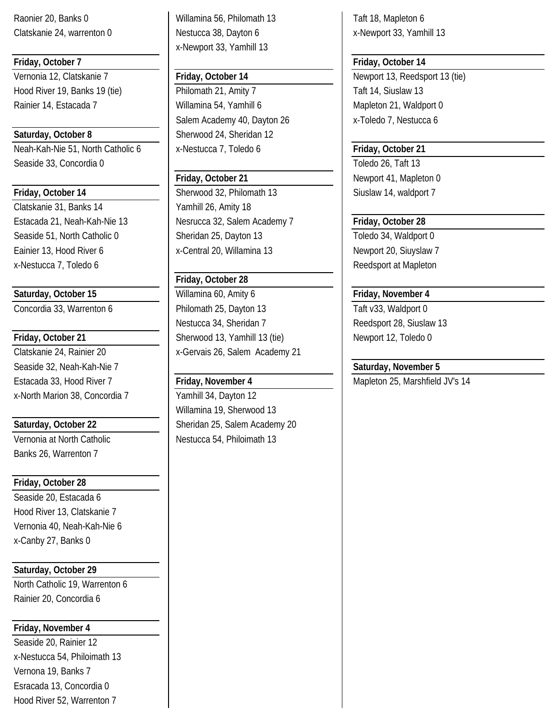Neah-Kah-Nie 51, North Catholic 6 | x-Nestucca 7, Toledo 6 | **Friday, October 21** Seaside 33, Concordia 0 Toledo 26, Taft 13

Clatskanie 31, Banks 14 Yamhill 26, Amity 18 x-Nestucca 7, Toledo 6 and Reedsport at Mapleton

Seaside 32, Neah-Kah-Nie 7 **Seaside 32, November 5** Saturday, November 5 Estacada 33, Hood River 7 **Friday, November 4** Mapleton 25, Marshfield JV's 14 x-North Marion 38, Concordia 7 | Yamhill 34, Dayton 12

Banks 26, Warrenton 7

# **Friday, October 28**

Seaside 20, Estacada 6 Hood River 13, Clatskanie 7 Vernonia 40, Neah-Kah-Nie 6 x-Canby 27, Banks 0

**Saturday, October 29**

North Catholic 19, Warrenton 6 Rainier 20, Concordia 6

# **Friday, November 4**

Seaside 20, Rainier 12 x-Nestucca 54, Philoimath 13 Vernona 19, Banks 7 Esracada 13, Concordia 0 Hood River 52, Warrenton 7

Raonier 20, Banks 0 Willamina 56, Philomath 13 Taft 18, Mapleton 6 Clatskanie 24, warrenton 0 Nestucca 38, Dayton 6 x-Newport 33, Yamhill 13 x-Newport 33, Yamhill 13

Hood River 19, Banks 19 (tie) Philomath 21, Amity 7 Taft 14, Siuslaw 13 Rainier 14, Estacada 7 | Willamina 54, Yamhill 6 | Mapleton 21, Waldport 0 Salem Academy 40, Dayton 26 x-Toledo 7, Nestucca 6 **Saturday, October 8** Sherwood 24, Sheridan 12

**Friday, October 14 Sherwood 32, Philomath 13** Siuslaw 14, waldport 7 Estacada 21, Neah-Kah-Nie 13 Nesrucca 32, Salem Academy 7 **Friday, October 28** Seaside 51, North Catholic 0 Sheridan 25, Dayton 13 Toledo 34, Waldport 0 Eainier 13, Hood River 6 **X** x-Central 20, Willamina 13 Newport 20, Siuyslaw 7

# **Friday, October 28**

Saturday, October 15 **Filter 15** Willamina 60, Amity 6 **Filter 1 Friday, November 4** Concordia 33, Warrenton 6 **Philomath 25, Dayton 13** Taft v33, Waldport 0 Nestucca 34, Sheridan 7 Mestucca 34, Sheridan 7 Mestucca 34, Siuslaw 13 **Friday, October 21 Sherwood 13, Yamhill 13 (tie)** Newport 12, Toledo 0 Clatskanie 24, Rainier 20 x-Gervais 26, Salem Academy 21

Willamina 19, Sherwood 13 Saturday, October 22 **Sheridan 25, Salem Academy 20** Vernonia at North Catholic Nestucca 54, Philoimath 13

# **Friday, October 7 Friday, October 14**

Vernonia 12, Clatskanie 7 **Friday, October 14** Newport 13, Reedsport 13 (tie)

# **Friday, October 21** Newport 41, Mapleton 0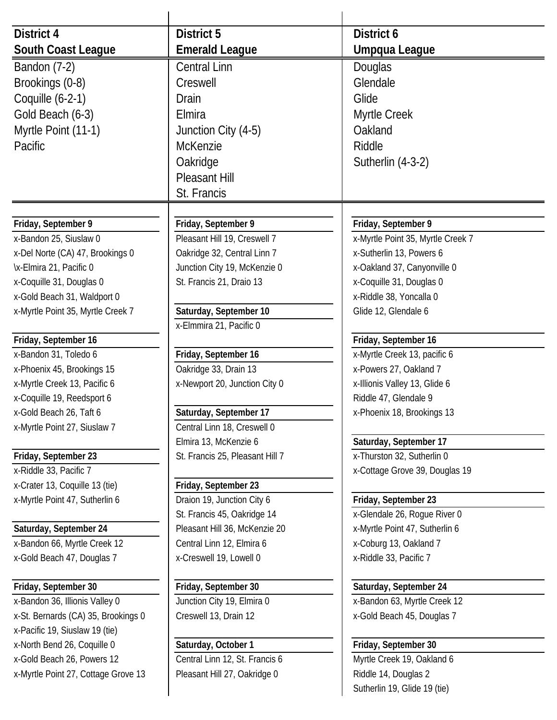| <b>District 4</b>                             | District 5                                          | District 6                                               |
|-----------------------------------------------|-----------------------------------------------------|----------------------------------------------------------|
| South Coast League                            | <b>Emerald League</b>                               | Umpqua League                                            |
| Bandon (7-2)                                  | <b>Central Linn</b>                                 | Douglas                                                  |
| Brookings (0-8)                               | Creswell                                            | Glendale                                                 |
| Coquille (6-2-1)                              | <b>Drain</b>                                        | Glide                                                    |
| Gold Beach (6-3)                              | Elmira                                              | Myrtle Creek                                             |
|                                               |                                                     | Oakland                                                  |
| Myrtle Point (11-1)                           | Junction City (4-5)                                 |                                                          |
| Pacific                                       | <b>McKenzie</b>                                     | Riddle                                                   |
|                                               | Oakridge                                            | Sutherlin (4-3-2)                                        |
|                                               | <b>Pleasant Hill</b>                                |                                                          |
|                                               | St. Francis                                         |                                                          |
|                                               |                                                     |                                                          |
| Friday, September 9<br>x-Bandon 25, Siuslaw 0 | Friday, September 9<br>Pleasant Hill 19, Creswell 7 | Friday, September 9<br>x-Myrtle Point 35, Myrtle Creek 7 |
| x-Del Norte (CA) 47, Brookings 0              | Oakridge 32, Central Linn 7                         | x-Sutherlin 13, Powers 6                                 |
| \x-Elmira 21, Pacific 0                       | Junction City 19, McKenzie 0                        | x-Oakland 37, Canyonville 0                              |
| x-Coquille 31, Douglas 0                      | St. Francis 21, Draio 13                            | x-Coquille 31, Douglas 0                                 |
| x-Gold Beach 31, Waldport 0                   |                                                     | x-Riddle 38, Yoncalla 0                                  |
| x-Myrtle Point 35, Myrtle Creek 7             | Saturday, September 10                              | Glide 12, Glendale 6                                     |
|                                               | x-Elmmira 21, Pacific 0                             |                                                          |
| Friday, September 16                          |                                                     | Friday, September 16                                     |
| x-Bandon 31, Toledo 6                         | Friday, September 16                                | x-Myrtle Creek 13, pacific 6                             |
| x-Phoenix 45, Brookings 15                    | Oakridge 33, Drain 13                               | x-Powers 27, Oakland 7                                   |
| x-Myrtle Creek 13, Pacific 6                  | x-Newport 20, Junction City 0                       | x-Illionis Valley 13, Glide 6                            |
| x-Coquille 19, Reedsport 6                    |                                                     | Riddle 47, Glendale 9                                    |
| x-Gold Beach 26, Taft 6                       | Saturday, September 17                              | x-Phoenix 18, Brookings 13                               |
| x-Myrtle Point 27, Siuslaw 7                  | Central Linn 18, Creswell 0                         |                                                          |
|                                               | Elmira 13, McKenzie 6                               | Saturday, September 17                                   |
| Friday, September 23                          | St. Francis 25, Pleasant Hill 7                     | x-Thurston 32, Sutherlin 0                               |
| x-Riddle 33, Pacific 7                        |                                                     | x-Cottage Grove 39, Douglas 19                           |
| x-Crater 13, Coquille 13 (tie)                | Friday, September 23                                |                                                          |
| x-Myrtle Point 47, Sutherlin 6                | Draion 19, Junction City 6                          | Friday, September 23                                     |
|                                               | St. Francis 45, Oakridge 14                         | x-Glendale 26, Rogue River 0                             |
| Saturday, September 24                        | Pleasant Hill 36, McKenzie 20                       | x-Myrtle Point 47, Sutherlin 6                           |
| x-Bandon 66, Myrtle Creek 12                  | Central Linn 12, Elmira 6                           | x-Coburg 13, Oakland 7                                   |
| x-Gold Beach 47, Douglas 7                    | x-Creswell 19, Lowell 0                             | x-Riddle 33, Pacific 7                                   |
| Friday, September 30                          | Friday, September 30                                | Saturday, September 24                                   |
| x-Bandon 36, Illionis Valley 0                | Junction City 19, Elmira 0                          | x-Bandon 63, Myrtle Creek 12                             |
| x-St. Bernards (CA) 35, Brookings 0           | Creswell 13, Drain 12                               | x-Gold Beach 45, Douglas 7                               |
| x-Pacific 19, Siuslaw 19 (tie)                |                                                     |                                                          |
| x-North Bend 26, Coquille 0                   | Saturday, October 1                                 | Friday, September 30                                     |
| x-Gold Beach 26, Powers 12                    | Central Linn 12, St. Francis 6                      | Myrtle Creek 19, Oakland 6                               |
| x-Myrtle Point 27, Cottage Grove 13           | Pleasant Hill 27, Oakridge 0                        | Riddle 14, Douglas 2                                     |
|                                               |                                                     | Sutherlin 19, Glide 19 (tie)                             |
|                                               |                                                     |                                                          |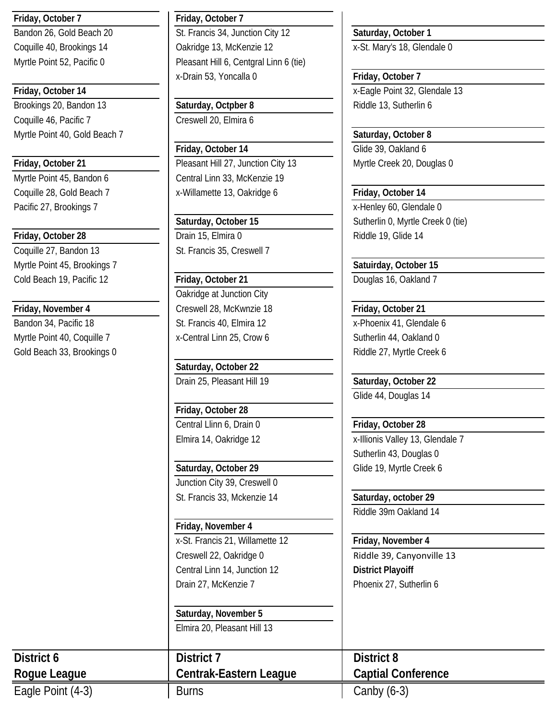# **Friday, October 7 Friday, October 7**

Brookings 20, Bandon 13 **Saturday, Octpber 8** Riddle 13, Sutherlin 6 Coquille 46, Pacific 7 Creswell 20, Elmira 6 Myrtle Point 40, Gold Beach 7 **Saturday, October 8** Saturday, October 8

Pacific 27, Brookings 7 and 1 and 2 and 2 and 2 and 2 and 2 and 2 and 2 and 2 and 2 and 2 and 2 and 2 and 2 and 2 and 2 and 2 and 2 and 2 and 2 and 2 and 2 and 2 and 2 and 2 and 2 and 2 and 2 and 2 and 2 and 2 and 2 and 2

# **Friday, October 28 Drain 15, Elmira 0 Riddle 19, Glide 14 Riddle 19, Glide 14**

Myrtle Point 45, Brookings 7 **Satuirday, October 15** Satuirday, October 15 Cold Beach 19, Pacific 12 **Friday, October 21** Douglas 16, Oakland 7

Myrtle Point 40, Coquille 7 x-Central Linn 25, Crow 6 Sutherlin 44, Oakland 0 Gold Beach 33, Brookings 0 and Riddle 27, Myrtle Creek 6

Bandon 26, Gold Beach 20 **St. Francis 34, Junction City 12** Saturday, October 1 Coquille 40, Brookings 14 | Oakridge 13, McKenzie 12 | X-St. Mary's 18, Glendale 0 Myrtle Point 52, Pacific 0 Pleasant Hill 6, Centgral Linn 6 (tie) x-Drain 53, Yoncalla 0 **Friday, October 7**

**Friday, October 14** Glide 39, Oakland 6 **Friday, October 21 Pleasant Hill 27, Junction City 13** Myrtle Creek 20, Douglas 0 Myrtle Point 45, Bandon 6 Central Linn 33, McKenzie 19 Coquille 28, Gold Beach 7 x-Willamette 13, Oakridge 6 **Friday, October 14**

Coquille 27, Bandon 13 St. Francis 35, Creswell 7

Oakridge at Junction City **Friday, November 4** Creswell 28, McKwnzie 18 **Friday, October 21** Bandon 34, Pacific 18 **St. Francis 40, Elmira 12** X-Phoenix 41, Glendale 6

> **Saturday, October 22** Drain 25, Pleasant Hill 19 **Saturday, October 22**

**Friday, October 28** Central Llinn 6, Drain 0 **Friday, October 28**

Saturday, October 29 **Glide 19, Myrtle Creek 6** Junction City 39, Creswell 0 St. Francis 33, Mckenzie 14 **Saturday, october 29**

**Friday, November 4** x-St. Francis 21, Willamette 12 **Friday, November 4** Creswell 22, Oakridge 0 Riddle 39, Canyonville 13 Central Linn 14, Junction 12 **District Playoiff** Drain 27, McKenzie 7 Phoenix 27, Sutherlin 6

**Saturday, November 5** Elmira 20, Pleasant Hill 13

**Friday, October 14** X-Eagle Point 32, Glendale 13

Saturday, October 15 **Sutherlin 0, Myrtle Creek 0 (tie)** Sutherlin 0, Myrtle Creek 0 (tie)

Glide 44, Douglas 14

Elmira 14, Oakridge 12 x-Illionis Valley 13, Glendale 7 Sutherlin 43, Douglas 0

Riddle 39m Oakland 14

**District 6 District 7 District 8 Rogue League Centrak-Eastern League Captial Conference**

Eagle Point (4-3) Burns Burns and Canby (6-3)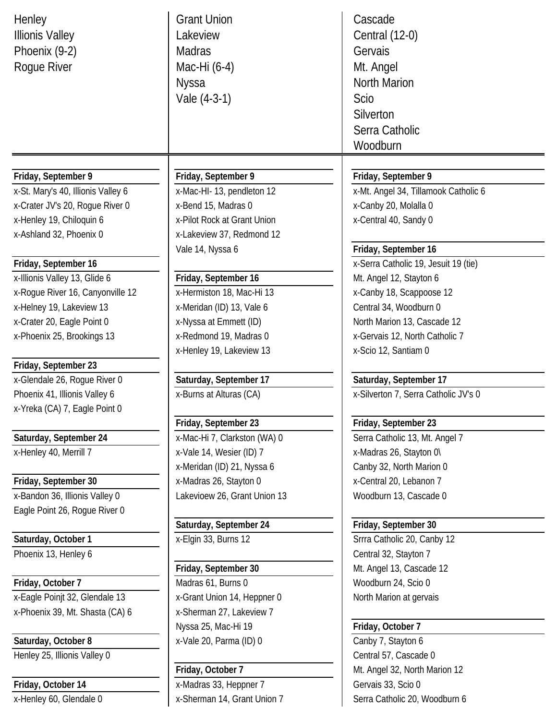| Henley<br><b>Illionis Valley</b><br>Phoenix (9-2)<br>Rogue River | <b>Grant Union</b><br>Lakeview<br><b>Madras</b><br>Mac-Hi (6-4)<br><b>Nyssa</b><br>Vale (4-3-1) | Cascade<br>Central (12-0)<br>Gervais<br>Mt. Angel<br>North Marion<br><b>Scio</b><br>Silverton<br>Serra Catholic<br>Woodburn |
|------------------------------------------------------------------|-------------------------------------------------------------------------------------------------|-----------------------------------------------------------------------------------------------------------------------------|
|                                                                  |                                                                                                 |                                                                                                                             |
| Friday, September 9                                              | Friday, September 9                                                                             | Friday, September 9                                                                                                         |
| x-St. Mary's 40, Illionis Valley 6                               | x-Mac-HI-13, pendleton 12                                                                       | x-Mt. Angel 34, Tillamook Catholic 6                                                                                        |
| x-Crater JV's 20, Rogue River 0                                  | x-Bend 15, Madras 0                                                                             | x-Canby 20, Molalla 0                                                                                                       |
| x-Henley 19, Chiloquin 6                                         | x-Pilot Rock at Grant Union                                                                     | x-Central 40, Sandy 0                                                                                                       |
| x-Ashland 32, Phoenix 0                                          | x-Lakeview 37, Redmond 12                                                                       |                                                                                                                             |
|                                                                  | Vale 14, Nyssa 6                                                                                | Friday, September 16                                                                                                        |
| Friday, September 16                                             |                                                                                                 | x-Serra Catholic 19, Jesuit 19 (tie)                                                                                        |
| x-Illionis Valley 13, Glide 6                                    | Friday, September 16                                                                            | Mt. Angel 12, Stayton 6                                                                                                     |
| x-Rogue River 16, Canyonville 12                                 | x-Hermiston 18, Mac-Hi 13                                                                       | x-Canby 18, Scappoose 12                                                                                                    |
| x-Helney 19, Lakeview 13                                         | x-Meridan (ID) 13, Vale 6                                                                       | Central 34, Woodburn 0                                                                                                      |
| x-Crater 20, Eagle Point 0                                       | x-Nyssa at Emmett (ID)                                                                          | North Marion 13, Cascade 12                                                                                                 |
| x-Phoenix 25, Brookings 13                                       | x-Redmond 19, Madras 0                                                                          | x-Gervais 12, North Catholic 7                                                                                              |
|                                                                  | x-Henley 19, Lakeview 13                                                                        | x-Scio 12, Santiam 0                                                                                                        |
| Friday, September 23                                             |                                                                                                 |                                                                                                                             |
| x-Glendale 26, Rogue River 0                                     | Saturday, September 17                                                                          | Saturday, September 17                                                                                                      |
| Phoenix 41, Illionis Valley 6                                    | x-Burns at Alturas (CA)                                                                         | x-Silverton 7, Serra Catholic JV's 0                                                                                        |
| x-Yreka (CA) 7, Eagle Point 0                                    |                                                                                                 |                                                                                                                             |
|                                                                  | Friday, September 23                                                                            | Friday, September 23                                                                                                        |
| Saturday, September 24                                           | x-Mac-Hi 7, Clarkston (WA) 0                                                                    | Serra Catholic 13, Mt. Angel 7                                                                                              |
| x-Henley 40, Merrill 7                                           | x-Vale 14, Wesier (ID) 7                                                                        | x-Madras 26, Stayton 0\                                                                                                     |
|                                                                  | x-Meridan (ID) 21, Nyssa 6                                                                      | Canby 32, North Marion 0                                                                                                    |
| Friday, September 30                                             | x-Madras 26, Stayton 0                                                                          | x-Central 20, Lebanon 7                                                                                                     |
| x-Bandon 36, Illionis Valley 0                                   | Lakevioew 26, Grant Union 13                                                                    | Woodburn 13, Cascade 0                                                                                                      |
| Eagle Point 26, Roque River 0                                    |                                                                                                 |                                                                                                                             |
|                                                                  | Saturday, September 24                                                                          | Friday, September 30                                                                                                        |
| Saturday, October 1                                              | x-Elgin 33, Burns 12                                                                            | Srrra Catholic 20, Canby 12                                                                                                 |
| Phoenix 13, Henley 6                                             |                                                                                                 | Central 32, Stayton 7                                                                                                       |
|                                                                  | Friday, September 30                                                                            | Mt. Angel 13, Cascade 12                                                                                                    |
| Friday, October 7                                                | Madras 61, Burns 0                                                                              | Woodburn 24, Scio 0                                                                                                         |
| x-Eagle Poinjt 32, Glendale 13                                   | x-Grant Union 14, Heppner 0                                                                     | North Marion at gervais                                                                                                     |
| x-Phoenix 39, Mt. Shasta (CA) 6                                  | x-Sherman 27, Lakeview 7                                                                        |                                                                                                                             |
|                                                                  | Nyssa 25, Mac-Hi 19                                                                             | Friday, October 7                                                                                                           |
| Saturday, October 8                                              | x-Vale 20, Parma (ID) 0                                                                         | Canby 7, Stayton 6                                                                                                          |
| Henley 25, Illionis Valley 0                                     |                                                                                                 | Central 57, Cascade 0                                                                                                       |
|                                                                  | Friday, October 7                                                                               | Mt. Angel 32, North Marion 12                                                                                               |
| Friday, October 14                                               | x-Madras 33, Heppner 7                                                                          | Gervais 33, Scio 0                                                                                                          |
| x-Henley 60, Glendale 0                                          | x-Sherman 14, Grant Union 7                                                                     | Serra Catholic 20, Woodburn 6                                                                                               |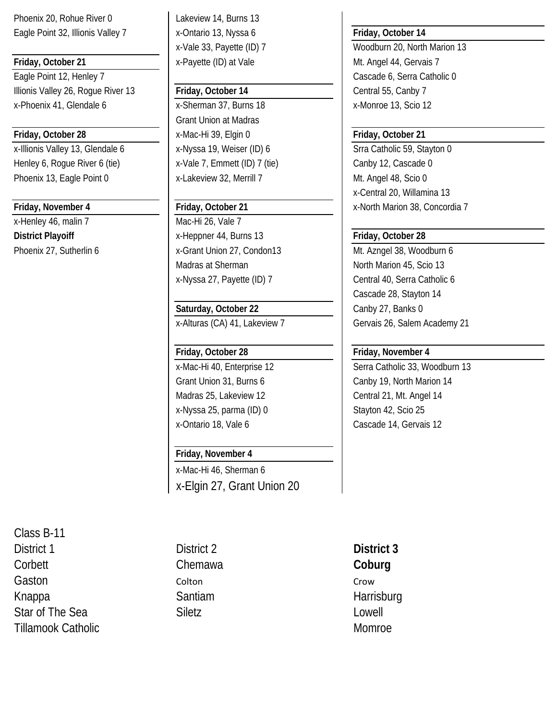Phoenix 20, Rohue River 0 Lakeview 14, Burns 13 Eagle Point 32, Illionis Valley 7 x-Ontario 13, Nyssa 6 **Friday, October 14** 

Eagle Point 12, Henley 7 Cascade 6, Serra Catholic 0 Illionis Valley 26, Roque River 13 **Friday, October 14** Central 55, Canby 7 x-Phoenix 41, Glendale 6 x-Sherman 37, Burns 18 x-Monroe 13, Scio 12

x-Illionis Valley 13, Glendale 6 x-Nyssa 19, Weiser (ID) 6 Srra Catholic 59, Stayton 0 Henley 6, Rogue River 6 (tie) <br> x-Vale 7, Emmett (ID) 7 (tie) <br> Canby 12, Cascade 0 Phoenix 13, Eagle Point 0 x-Lakeview 32, Merrill 7 Mi. Angel 48, Scio 0

x-Henley 46, malin 7 Mac-Hi 26, Vale 7

**Friday, October 21** X-Payette (ID) at Vale Mt. Angel 44, Gervais 7

Grant Union at Madras **Friday, October 28** x-Mac-Hi 39, Elgin 0 **Friday, October 21**

**District Playoiff** X-Heppner 44, Burns 13 **Friday, October 28** Phoenix 27, Sutherlin 6 x-Grant Union 27, Condon13 Mt. Azngel 38, Woodburn 6 Madras at Sherman North Marion 45, Scio 13 x-Nyssa 27, Payette (ID) 7 Central 40, Serra Catholic 6

# **Saturday, October 22** Canby 27, Banks 0

x-Alturas (CA) 41, Lakeview 7 Gervais 26, Salem Academy 21

Madras 25, Lakeview 12 **Central 21, Mt. Angel 14** x-Nyssa 25, parma (ID) 0 Stayton 42, Scio 25 x-Ontario 18, Vale 6 Cascade 14, Gervais 12

# **Friday, November 4**

x-Mac-Hi 46, Sherman 6 x-Elgin 27, Grant Union 20

Class B-11 District 1 District 2 **District 3** Corbett **Corbett** Chemawa **Coburg** Corbett Coburg Gaston Colton Colton Colton Colton Crow Knappa Santiam Santiam Harrisburg Star of The Sea Siletz Siletz Star of The Sea Siletz Cowell Tillamook Catholic Momroe (1999) and the state of the Momroe Momroe (1999) and the Momroe Momroe (1999) and the Momroe

x-Vale 33, Payette (ID) 7 Woodburn 20, North Marion 13

x-Central 20, Willamina 13 **Friday, November 4 Friday, October 21** X-North Marion 38, Concordia 7

Cascade 28, Stayton 14

# **Friday, October 28 Friday, November 4**

x-Mac-Hi 40, Enterprise 12 Serra Catholic 33, Woodburn 13 Grant Union 31, Burns 6 Canby 19, North Marion 14